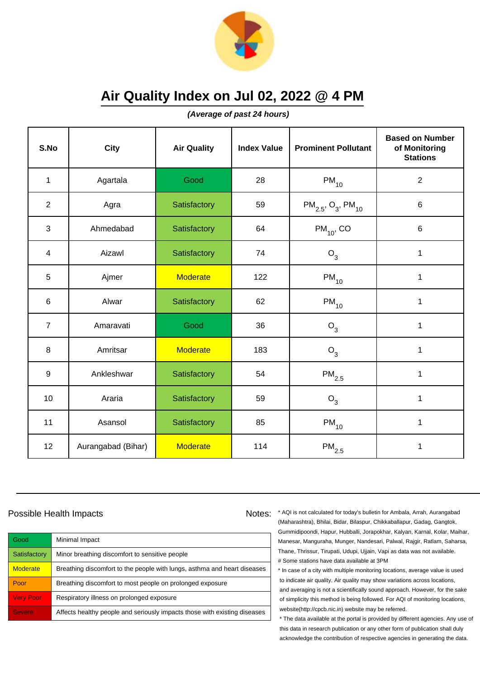

**(Average of past 24 hours)**

| S.No             | <b>City</b>        | <b>Air Quality</b> | <b>Index Value</b> | <b>Prominent Pollutant</b>                     | <b>Based on Number</b><br>of Monitoring<br><b>Stations</b> |
|------------------|--------------------|--------------------|--------------------|------------------------------------------------|------------------------------------------------------------|
| $\mathbf{1}$     | Agartala           | Good               | 28                 | $PM_{10}$                                      | $\overline{2}$                                             |
| $\overline{2}$   | Agra               | Satisfactory       | 59                 | $PM_{2.5}$ , O <sub>3</sub> , PM <sub>10</sub> | 6                                                          |
| 3                | Ahmedabad          | Satisfactory       | 64                 | $PM_{10}$ , CO                                 | $\,6$                                                      |
| $\overline{4}$   | Aizawl             | Satisfactory       | 74                 | $O_3$                                          | $\mathbf{1}$                                               |
| $\overline{5}$   | Ajmer              | <b>Moderate</b>    | 122                | $PM_{10}$                                      | $\mathbf{1}$                                               |
| 6                | Alwar              | Satisfactory       | 62                 | $PM_{10}$                                      | 1                                                          |
| $\overline{7}$   | Amaravati          | Good               | 36                 | $O_3$                                          | $\mathbf 1$                                                |
| 8                | Amritsar           | Moderate           | 183                | $O_3$                                          | $\mathbf{1}$                                               |
| $\boldsymbol{9}$ | Ankleshwar         | Satisfactory       | 54                 | $\mathsf{PM}_{2.5}$                            | $\mathbf 1$                                                |
| 10               | Araria             | Satisfactory       | 59                 | $O_3$                                          | 1                                                          |
| 11               | Asansol            | Satisfactory       | 85                 | $PM_{10}$                                      | 1                                                          |
| 12               | Aurangabad (Bihar) | <b>Moderate</b>    | 114                | $\mathsf{PM}_{2.5}$                            | $\mathbf{1}$                                               |

#### Possible Health Impacts

| Good             | Minimal Impact                                                            |
|------------------|---------------------------------------------------------------------------|
| Satisfactory     | Minor breathing discomfort to sensitive people                            |
| <b>Moderate</b>  | Breathing discomfort to the people with lungs, asthma and heart diseases  |
| Poor             | Breathing discomfort to most people on prolonged exposure                 |
| <b>Very Poor</b> | Respiratory illness on prolonged exposure                                 |
| <b>Severe</b>    | Affects healthy people and seriously impacts those with existing diseases |

Notes: \* AQI is not calculated for today's bulletin for Ambala, Arrah, Aurangabad (Maharashtra), Bhilai, Bidar, Bilaspur, Chikkaballapur, Gadag, Gangtok, Gummidipoondi, Hapur, Hubballi, Jorapokhar, Kalyan, Karnal, Kolar, Maihar, Manesar, Manguraha, Munger, Nandesari, Palwal, Rajgir, Ratlam, Saharsa, Thane, Thrissur, Tirupati, Udupi, Ujjain, Vapi as data was not available. # Some stations have data available at 3PM

> \* In case of a city with multiple monitoring locations, average value is used to indicate air quality. Air quality may show variations across locations, and averaging is not a scientifically sound approach. However, for the sake of simplicity this method is being followed. For AQI of monitoring locations, website(http://cpcb.nic.in) website may be referred.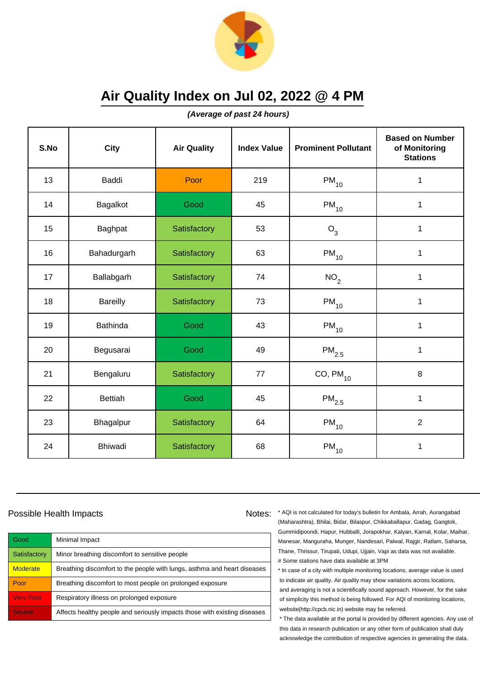

**(Average of past 24 hours)**

| S.No | <b>City</b>     | <b>Air Quality</b> | <b>Index Value</b> | <b>Prominent Pollutant</b> | <b>Based on Number</b><br>of Monitoring<br><b>Stations</b> |
|------|-----------------|--------------------|--------------------|----------------------------|------------------------------------------------------------|
| 13   | Baddi           | Poor               | 219                | $PM_{10}$                  | $\mathbf 1$                                                |
| 14   | Bagalkot        | Good               | 45                 | $PM_{10}$                  | 1                                                          |
| 15   | Baghpat         | Satisfactory       | 53                 | $O_3$                      | 1                                                          |
| 16   | Bahadurgarh     | Satisfactory       | 63                 | $PM_{10}$                  | 1                                                          |
| 17   | Ballabgarh      | Satisfactory       | 74                 | NO <sub>2</sub>            | $\mathbf 1$                                                |
| 18   | <b>Bareilly</b> | Satisfactory       | 73                 | $PM_{10}$                  | 1                                                          |
| 19   | <b>Bathinda</b> | Good               | 43                 | $PM_{10}$                  | 1                                                          |
| 20   | Begusarai       | Good               | 49                 | $PM_{2.5}$                 | 1                                                          |
| 21   | Bengaluru       | Satisfactory       | 77                 | $CO, PM_{10}$              | 8                                                          |
| 22   | <b>Bettiah</b>  | Good               | 45                 | $\mathsf{PM}_{2.5}$        | $\mathbf 1$                                                |
| 23   | Bhagalpur       | Satisfactory       | 64                 | $PM_{10}$                  | $\overline{2}$                                             |
| 24   | <b>Bhiwadi</b>  | Satisfactory       | 68                 | $PM_{10}$                  | 1                                                          |

#### Possible Health Impacts

Good Minimal Impact Satisfactory | Minor breathing discomfort to sensitive people  $M$ oderate  $\blacksquare$  Breathing discomfort to the people with lungs, asthma and heart diseases **Poor** Breathing discomfort to most people on prolonged exposure Very Poor Respiratory illness on prolonged exposure Severe **Affects healthy people and seriously impacts those with existing diseases** 

Notes: \* AQI is not calculated for today's bulletin for Ambala, Arrah, Aurangabad (Maharashtra), Bhilai, Bidar, Bilaspur, Chikkaballapur, Gadag, Gangtok, Gummidipoondi, Hapur, Hubballi, Jorapokhar, Kalyan, Karnal, Kolar, Maihar, Manesar, Manguraha, Munger, Nandesari, Palwal, Rajgir, Ratlam, Saharsa, Thane, Thrissur, Tirupati, Udupi, Ujjain, Vapi as data was not available. # Some stations have data available at 3PM

> \* In case of a city with multiple monitoring locations, average value is used to indicate air quality. Air quality may show variations across locations, and averaging is not a scientifically sound approach. However, for the sake of simplicity this method is being followed. For AQI of monitoring locations, website(http://cpcb.nic.in) website may be referred.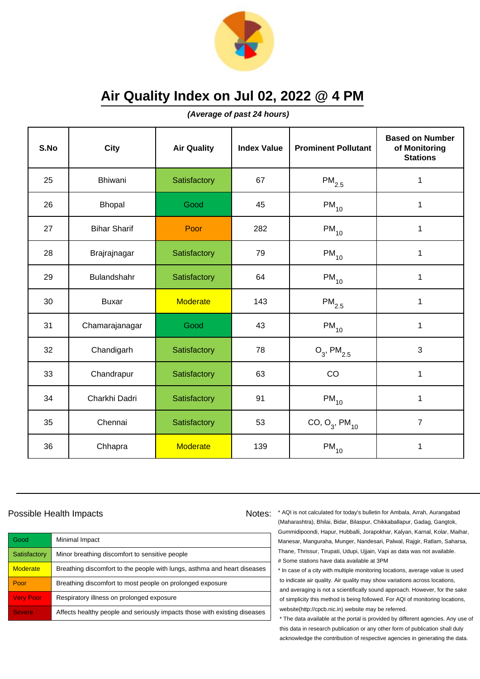

**(Average of past 24 hours)**

| S.No | <b>City</b>         | <b>Air Quality</b> | <b>Index Value</b> | <b>Prominent Pollutant</b>   | <b>Based on Number</b><br>of Monitoring<br><b>Stations</b> |
|------|---------------------|--------------------|--------------------|------------------------------|------------------------------------------------------------|
| 25   | <b>Bhiwani</b>      | Satisfactory       | 67                 | $\mathsf{PM}_{2.5}$          | 1                                                          |
| 26   | Bhopal              | Good               | 45                 | $PM_{10}$                    | 1                                                          |
| 27   | <b>Bihar Sharif</b> | Poor               | 282                | $\mathsf{PM}_{10}$           | 1                                                          |
| 28   | Brajrajnagar        | Satisfactory       | 79                 | $PM_{10}$                    | 1                                                          |
| 29   | Bulandshahr         | Satisfactory       | 64                 | $PM_{10}$                    | $\mathbf 1$                                                |
| 30   | <b>Buxar</b>        | <b>Moderate</b>    | 143                | $\mathsf{PM}_{2.5}$          | 1                                                          |
| 31   | Chamarajanagar      | Good               | 43                 | $PM_{10}$                    | $\mathbf{1}$                                               |
| 32   | Chandigarh          | Satisfactory       | 78                 | $O_3$ , PM <sub>2.5</sub>    | 3                                                          |
| 33   | Chandrapur          | Satisfactory       | 63                 | CO                           | $\mathbf 1$                                                |
| 34   | Charkhi Dadri       | Satisfactory       | 91                 | $PM_{10}$                    | $\mathbf 1$                                                |
| 35   | Chennai             | Satisfactory       | 53                 | CO, $O_3$ , PM <sub>10</sub> | $\overline{7}$                                             |
| 36   | Chhapra             | <b>Moderate</b>    | 139                | $PM_{10}$                    | $\mathbf 1$                                                |

#### Possible Health Impacts

| Good             | Minimal Impact                                                            |
|------------------|---------------------------------------------------------------------------|
| Satisfactory     | Minor breathing discomfort to sensitive people                            |
| <b>Moderate</b>  | Breathing discomfort to the people with lungs, asthma and heart diseases  |
| Poor             | Breathing discomfort to most people on prolonged exposure                 |
| <b>Very Poor</b> | Respiratory illness on prolonged exposure                                 |
| <b>Severe</b>    | Affects healthy people and seriously impacts those with existing diseases |

Notes: \* AQI is not calculated for today's bulletin for Ambala, Arrah, Aurangabad (Maharashtra), Bhilai, Bidar, Bilaspur, Chikkaballapur, Gadag, Gangtok, Gummidipoondi, Hapur, Hubballi, Jorapokhar, Kalyan, Karnal, Kolar, Maihar, Manesar, Manguraha, Munger, Nandesari, Palwal, Rajgir, Ratlam, Saharsa, Thane, Thrissur, Tirupati, Udupi, Ujjain, Vapi as data was not available. # Some stations have data available at 3PM

> \* In case of a city with multiple monitoring locations, average value is used to indicate air quality. Air quality may show variations across locations, and averaging is not a scientifically sound approach. However, for the sake of simplicity this method is being followed. For AQI of monitoring locations, website(http://cpcb.nic.in) website may be referred.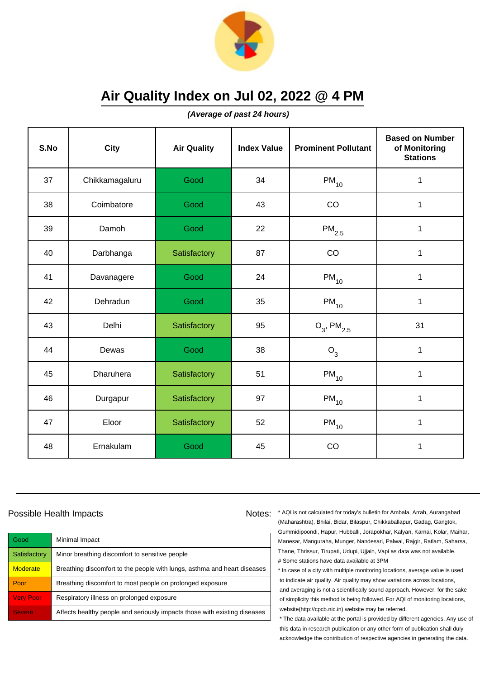

**(Average of past 24 hours)**

| S.No | <b>City</b>      | <b>Air Quality</b> | <b>Index Value</b> | <b>Prominent Pollutant</b> | <b>Based on Number</b><br>of Monitoring<br><b>Stations</b> |
|------|------------------|--------------------|--------------------|----------------------------|------------------------------------------------------------|
| 37   | Chikkamagaluru   | Good               | 34                 | $PM_{10}$                  | 1                                                          |
| 38   | Coimbatore       | Good               | 43                 | CO                         | 1                                                          |
| 39   | Damoh            | Good               | 22                 | $\mathsf{PM}_{2.5}$        | $\mathbf 1$                                                |
| 40   | Darbhanga        | Satisfactory       | 87                 | CO                         | $\mathbf{1}$                                               |
| 41   | Davanagere       | Good               | 24                 | $PM_{10}$                  | $\mathbf 1$                                                |
| 42   | Dehradun         | Good               | 35                 | $PM_{10}$                  | 1                                                          |
| 43   | Delhi            | Satisfactory       | 95                 | $O_3$ , PM <sub>2.5</sub>  | 31                                                         |
| 44   | Dewas            | Good               | 38                 | $O_3$                      | $\mathbf{1}$                                               |
| 45   | <b>Dharuhera</b> | Satisfactory       | 51                 | $PM_{10}$                  | 1                                                          |
| 46   | Durgapur         | Satisfactory       | 97                 | $PM_{10}$                  | $\mathbf 1$                                                |
| 47   | Eloor            | Satisfactory       | 52                 | $\mathsf{PM}_{10}$         | $\mathbf{1}$                                               |
| 48   | Ernakulam        | Good               | 45                 | CO                         | $\mathbf 1$                                                |

#### Possible Health Impacts

Good Minimal Impact Satisfactory | Minor breathing discomfort to sensitive people  $M$ oderate  $\blacksquare$  Breathing discomfort to the people with lungs, asthma and heart diseases **Poor** Breathing discomfort to most people on prolonged exposure Very Poor Respiratory illness on prolonged exposure Severe **Affects healthy people and seriously impacts those with existing diseases** 

Notes: \* AQI is not calculated for today's bulletin for Ambala, Arrah, Aurangabad (Maharashtra), Bhilai, Bidar, Bilaspur, Chikkaballapur, Gadag, Gangtok, Gummidipoondi, Hapur, Hubballi, Jorapokhar, Kalyan, Karnal, Kolar, Maihar, Manesar, Manguraha, Munger, Nandesari, Palwal, Rajgir, Ratlam, Saharsa, Thane, Thrissur, Tirupati, Udupi, Ujjain, Vapi as data was not available. # Some stations have data available at 3PM

> \* In case of a city with multiple monitoring locations, average value is used to indicate air quality. Air quality may show variations across locations, and averaging is not a scientifically sound approach. However, for the sake of simplicity this method is being followed. For AQI of monitoring locations, website(http://cpcb.nic.in) website may be referred.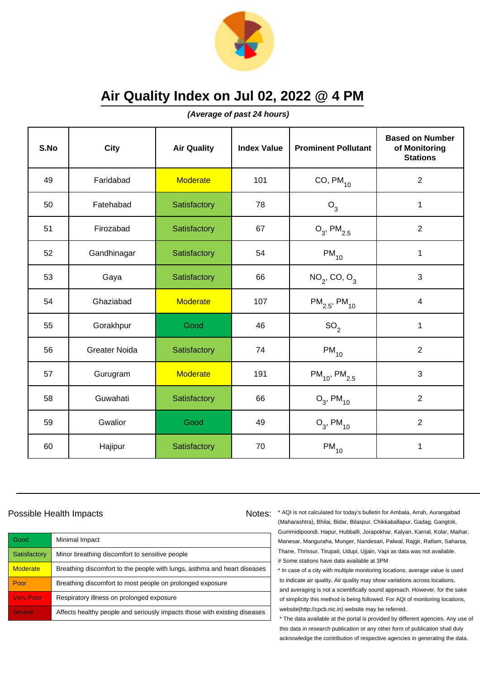

**(Average of past 24 hours)**

| S.No | <b>City</b>          | <b>Air Quality</b> | <b>Index Value</b> | <b>Prominent Pollutant</b>    | <b>Based on Number</b><br>of Monitoring<br><b>Stations</b> |
|------|----------------------|--------------------|--------------------|-------------------------------|------------------------------------------------------------|
| 49   | Faridabad            | <b>Moderate</b>    | 101                | $CO, PM_{10}$                 | $\overline{2}$                                             |
| 50   | Fatehabad            | Satisfactory       | 78                 | O <sub>3</sub>                | 1                                                          |
| 51   | Firozabad            | Satisfactory       | 67                 | $O_3$ , PM <sub>2.5</sub>     | $\overline{2}$                                             |
| 52   | Gandhinagar          | Satisfactory       | 54                 | $PM_{10}$                     | 1                                                          |
| 53   | Gaya                 | Satisfactory       | 66                 | $NO_2$ , CO, $O_3$            | 3                                                          |
| 54   | Ghaziabad            | <b>Moderate</b>    | 107                | $PM_{2.5}$ , PM <sub>10</sub> | $\overline{4}$                                             |
| 55   | Gorakhpur            | Good               | 46                 | SO <sub>2</sub>               | $\mathbf{1}$                                               |
| 56   | <b>Greater Noida</b> | Satisfactory       | 74                 | $PM_{10}$                     | $\overline{2}$                                             |
| 57   | Gurugram             | <b>Moderate</b>    | 191                | $PM_{10}$ , PM <sub>2.5</sub> | 3                                                          |
| 58   | Guwahati             | Satisfactory       | 66                 | $O_3$ , PM <sub>10</sub>      | $\overline{2}$                                             |
| 59   | Gwalior              | Good               | 49                 | $O_3$ , PM <sub>10</sub>      | $\overline{2}$                                             |
| 60   | Hajipur              | Satisfactory       | 70                 | $\mathsf{PM}_{10}$            | $\mathbf 1$                                                |

#### Possible Health Impacts

| Good             | Minimal Impact                                                            |
|------------------|---------------------------------------------------------------------------|
| Satisfactory     | Minor breathing discomfort to sensitive people                            |
| <b>Moderate</b>  | Breathing discomfort to the people with lungs, asthma and heart diseases  |
| Poor             | Breathing discomfort to most people on prolonged exposure                 |
| <b>Very Poor</b> | Respiratory illness on prolonged exposure                                 |
| <b>Severe</b>    | Affects healthy people and seriously impacts those with existing diseases |

Notes: \* AQI is not calculated for today's bulletin for Ambala, Arrah, Aurangabad (Maharashtra), Bhilai, Bidar, Bilaspur, Chikkaballapur, Gadag, Gangtok, Gummidipoondi, Hapur, Hubballi, Jorapokhar, Kalyan, Karnal, Kolar, Maihar, Manesar, Manguraha, Munger, Nandesari, Palwal, Rajgir, Ratlam, Saharsa, Thane, Thrissur, Tirupati, Udupi, Ujjain, Vapi as data was not available. # Some stations have data available at 3PM

> \* In case of a city with multiple monitoring locations, average value is used to indicate air quality. Air quality may show variations across locations, and averaging is not a scientifically sound approach. However, for the sake of simplicity this method is being followed. For AQI of monitoring locations, website(http://cpcb.nic.in) website may be referred.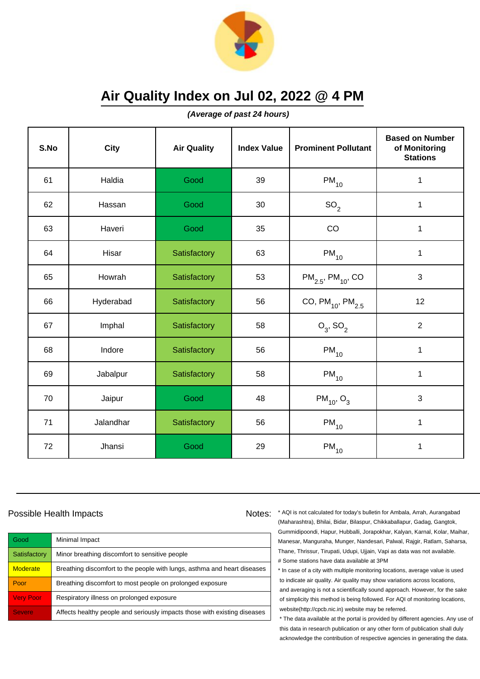

**(Average of past 24 hours)**

| S.No | <b>City</b> | <b>Air Quality</b> | <b>Index Value</b> | <b>Prominent Pollutant</b>         | <b>Based on Number</b><br>of Monitoring<br><b>Stations</b> |
|------|-------------|--------------------|--------------------|------------------------------------|------------------------------------------------------------|
| 61   | Haldia      | Good               | 39                 | $PM_{10}$                          | $\mathbf 1$                                                |
| 62   | Hassan      | Good               | 30                 | SO <sub>2</sub>                    | 1                                                          |
| 63   | Haveri      | Good               | 35                 | CO                                 | 1                                                          |
| 64   | Hisar       | Satisfactory       | 63                 | $PM_{10}$                          | $\mathbf 1$                                                |
| 65   | Howrah      | Satisfactory       | 53                 | $PM_{2.5}$ , PM <sub>10</sub> , CO | 3                                                          |
| 66   | Hyderabad   | Satisfactory       | 56                 | CO, $PM_{10}$ , $PM_{2.5}$         | 12                                                         |
| 67   | Imphal      | Satisfactory       | 58                 | $O_3$ , SO <sub>2</sub>            | $\overline{2}$                                             |
| 68   | Indore      | Satisfactory       | 56                 | $PM_{10}$                          | 1                                                          |
| 69   | Jabalpur    | Satisfactory       | 58                 | $PM_{10}$                          | $\mathbf 1$                                                |
| 70   | Jaipur      | Good               | 48                 | $PM_{10}$ , O <sub>3</sub>         | 3                                                          |
| 71   | Jalandhar   | Satisfactory       | 56                 | $PM_{10}$                          | 1                                                          |
| 72   | Jhansi      | Good               | 29                 | $PM_{10}$                          | 1                                                          |

#### Possible Health Impacts

Good Minimal Impact Satisfactory | Minor breathing discomfort to sensitive people  $M$ oderate  $\blacksquare$  Breathing discomfort to the people with lungs, asthma and heart diseases **Poor** Breathing discomfort to most people on prolonged exposure Very Poor Respiratory illness on prolonged exposure Severe **Affects healthy people and seriously impacts those with existing diseases** 

Notes: \* AQI is not calculated for today's bulletin for Ambala, Arrah, Aurangabad (Maharashtra), Bhilai, Bidar, Bilaspur, Chikkaballapur, Gadag, Gangtok, Gummidipoondi, Hapur, Hubballi, Jorapokhar, Kalyan, Karnal, Kolar, Maihar, Manesar, Manguraha, Munger, Nandesari, Palwal, Rajgir, Ratlam, Saharsa, Thane, Thrissur, Tirupati, Udupi, Ujjain, Vapi as data was not available. # Some stations have data available at 3PM

> \* In case of a city with multiple monitoring locations, average value is used to indicate air quality. Air quality may show variations across locations, and averaging is not a scientifically sound approach. However, for the sake of simplicity this method is being followed. For AQI of monitoring locations, website(http://cpcb.nic.in) website may be referred.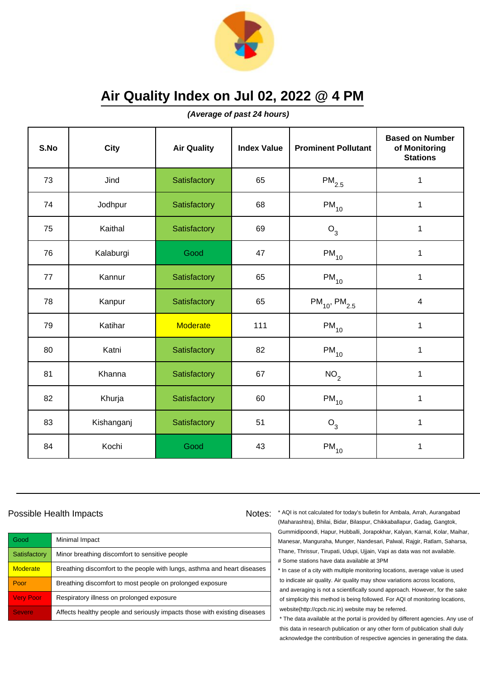

**(Average of past 24 hours)**

| S.No | <b>City</b> | <b>Air Quality</b> | <b>Index Value</b> | <b>Prominent Pollutant</b>    | <b>Based on Number</b><br>of Monitoring<br><b>Stations</b> |
|------|-------------|--------------------|--------------------|-------------------------------|------------------------------------------------------------|
| 73   | Jind        | Satisfactory       | 65                 | $PM_{2.5}$                    | $\mathbf 1$                                                |
| 74   | Jodhpur     | Satisfactory       | 68                 | $PM_{10}$                     | $\mathbf{1}$                                               |
| 75   | Kaithal     | Satisfactory       | 69                 | $O_3$                         | 1                                                          |
| 76   | Kalaburgi   | Good               | 47                 | $PM_{10}$                     | 1                                                          |
| 77   | Kannur      | Satisfactory       | 65                 | $PM_{10}$                     | $\mathbf 1$                                                |
| 78   | Kanpur      | Satisfactory       | 65                 | $PM_{10}$ , PM <sub>2.5</sub> | $\overline{4}$                                             |
| 79   | Katihar     | <b>Moderate</b>    | 111                | $PM_{10}$                     | $\mathbf 1$                                                |
| 80   | Katni       | Satisfactory       | 82                 | $\mathsf{PM}_{10}$            | 1                                                          |
| 81   | Khanna      | Satisfactory       | 67                 | NO <sub>2</sub>               | 1                                                          |
| 82   | Khurja      | Satisfactory       | 60                 | $PM_{10}$                     | $\mathbf 1$                                                |
| 83   | Kishanganj  | Satisfactory       | 51                 | $O_3$                         | 1                                                          |
| 84   | Kochi       | Good               | 43                 | $PM_{10}$                     | 1                                                          |

#### Possible Health Impacts

Good Minimal Impact Satisfactory | Minor breathing discomfort to sensitive people  $M$ oderate  $\blacksquare$  Breathing discomfort to the people with lungs, asthma and heart diseases **Poor** Breathing discomfort to most people on prolonged exposure Very Poor Respiratory illness on prolonged exposure Severe **Affects healthy people and seriously impacts those with existing diseases** 

Notes: \* AQI is not calculated for today's bulletin for Ambala, Arrah, Aurangabad (Maharashtra), Bhilai, Bidar, Bilaspur, Chikkaballapur, Gadag, Gangtok, Gummidipoondi, Hapur, Hubballi, Jorapokhar, Kalyan, Karnal, Kolar, Maihar, Manesar, Manguraha, Munger, Nandesari, Palwal, Rajgir, Ratlam, Saharsa, Thane, Thrissur, Tirupati, Udupi, Ujjain, Vapi as data was not available. # Some stations have data available at 3PM

> \* In case of a city with multiple monitoring locations, average value is used to indicate air quality. Air quality may show variations across locations, and averaging is not a scientifically sound approach. However, for the sake of simplicity this method is being followed. For AQI of monitoring locations, website(http://cpcb.nic.in) website may be referred.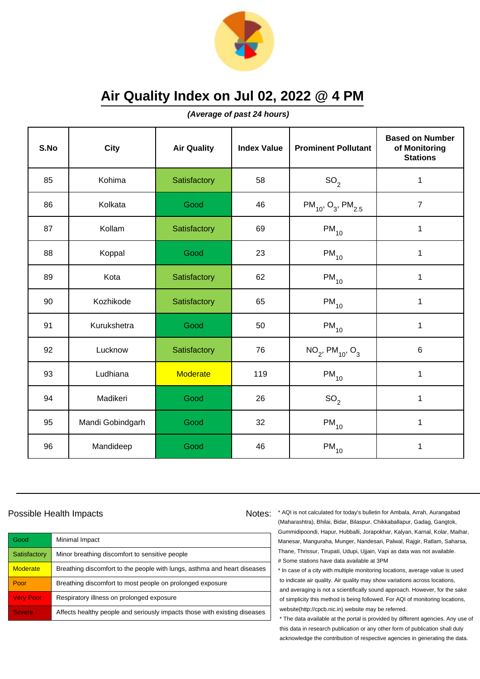

**(Average of past 24 hours)**

| S.No | City             | <b>Air Quality</b> | <b>Index Value</b> | <b>Prominent Pollutant</b>                     | <b>Based on Number</b><br>of Monitoring<br><b>Stations</b> |
|------|------------------|--------------------|--------------------|------------------------------------------------|------------------------------------------------------------|
| 85   | Kohima           | Satisfactory       | 58                 | SO <sub>2</sub>                                | $\mathbf{1}$                                               |
| 86   | Kolkata          | Good               | 46                 | $PM_{10}$ , O <sub>3</sub> , PM <sub>2.5</sub> | $\overline{7}$                                             |
| 87   | Kollam           | Satisfactory       | 69                 | $PM_{10}$                                      | 1                                                          |
| 88   | Koppal           | Good               | 23                 | $PM_{10}$                                      | 1                                                          |
| 89   | Kota             | Satisfactory       | 62                 | $PM_{10}$                                      | $\mathbf 1$                                                |
| 90   | Kozhikode        | Satisfactory       | 65                 | $PM_{10}$                                      | $\mathbf 1$                                                |
| 91   | Kurukshetra      | Good               | 50                 | $PM_{10}$                                      | $\mathbf 1$                                                |
| 92   | Lucknow          | Satisfactory       | 76                 | $NO_2$ , PM <sub>10</sub> , O <sub>3</sub>     | $6\phantom{1}$                                             |
| 93   | Ludhiana         | <b>Moderate</b>    | 119                | $PM_{10}$                                      | $\mathbf 1$                                                |
| 94   | Madikeri         | Good               | 26                 | SO <sub>2</sub>                                | 1                                                          |
| 95   | Mandi Gobindgarh | Good               | 32                 | $PM_{10}$                                      | $\mathbf{1}$                                               |
| 96   | Mandideep        | Good               | 46                 | $PM_{10}$                                      | 1                                                          |

#### Possible Health Impacts Notes:

Good Minimal Impact Satisfactory | Minor breathing discomfort to sensitive people Moderate **Breathing discomfort to the people with lungs**, asthma and heart diseases Poor **Breathing discomfort to most people on prolonged exposure** Very Poor Respiratory illness on prolonged exposure Severe **Affects healthy people and seriously impacts those with existing diseases** 

\* AQI is not calculated for today's bulletin for Ambala, Arrah, Aurangabad (Maharashtra), Bhilai, Bidar, Bilaspur, Chikkaballapur, Gadag, Gangtok, Gummidipoondi, Hapur, Hubballi, Jorapokhar, Kalyan, Karnal, Kolar, Maihar, Manesar, Manguraha, Munger, Nandesari, Palwal, Rajgir, Ratlam, Saharsa, Thane, Thrissur, Tirupati, Udupi, Ujjain, Vapi as data was not available. # Some stations have data available at 3PM

\* In case of a city with multiple monitoring locations, average value is used to indicate air quality. Air quality may show variations across locations, and averaging is not a scientifically sound approach. However, for the sake of simplicity this method is being followed. For AQI of monitoring locations, website(http://cpcb.nic.in) website may be referred.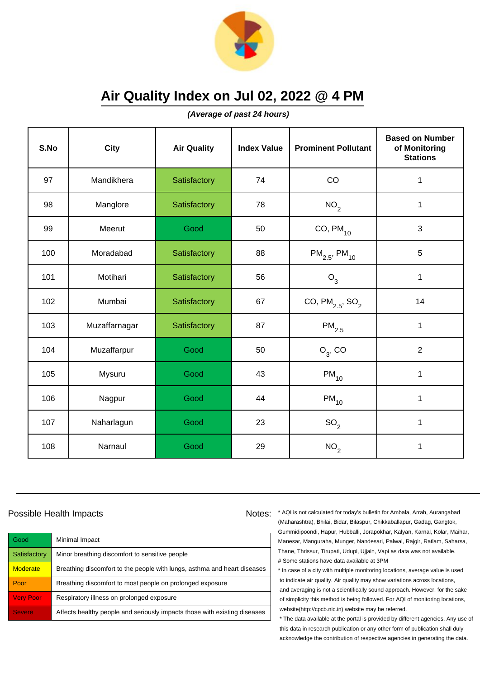

**(Average of past 24 hours)**

| S.No | City          | <b>Air Quality</b> | <b>Index Value</b> | <b>Prominent Pollutant</b>       | <b>Based on Number</b><br>of Monitoring<br><b>Stations</b> |
|------|---------------|--------------------|--------------------|----------------------------------|------------------------------------------------------------|
| 97   | Mandikhera    | Satisfactory       | 74                 | CO                               | 1                                                          |
| 98   | Manglore      | Satisfactory       | 78                 | NO <sub>2</sub>                  | $\mathbf 1$                                                |
| 99   | Meerut        | Good               | 50                 | $CO, PM$ <sub>10</sub>           | 3                                                          |
| 100  | Moradabad     | Satisfactory       | 88                 | $PM_{2.5}$ , PM <sub>10</sub>    | 5                                                          |
| 101  | Motihari      | Satisfactory       | 56                 | $O_3$                            | $\mathbf{1}$                                               |
| 102  | Mumbai        | Satisfactory       | 67                 | CO, $PM_{2.5}$ , SO <sub>2</sub> | 14                                                         |
| 103  | Muzaffarnagar | Satisfactory       | 87                 | $\mathsf{PM}_{2.5}$              | $\mathbf{1}$                                               |
| 104  | Muzaffarpur   | Good               | 50                 | $O_3$ , CO                       | $\overline{2}$                                             |
| 105  | Mysuru        | Good               | 43                 | $PM_{10}$                        | 1                                                          |
| 106  | Nagpur        | Good               | 44                 | $PM_{10}$                        | 1                                                          |
| 107  | Naharlagun    | Good               | 23                 | SO <sub>2</sub>                  | $\mathbf{1}$                                               |
| 108  | Narnaul       | Good               | 29                 | NO <sub>2</sub>                  | 1                                                          |

#### Possible Health Impacts

| Good             | Minimal Impact                                                            |
|------------------|---------------------------------------------------------------------------|
| Satisfactory     | Minor breathing discomfort to sensitive people                            |
| <b>Moderate</b>  | Breathing discomfort to the people with lungs, asthma and heart diseases  |
| Poor             | Breathing discomfort to most people on prolonged exposure                 |
| <b>Very Poor</b> | Respiratory illness on prolonged exposure                                 |
| <b>Severe</b>    | Affects healthy people and seriously impacts those with existing diseases |

Notes: \* AQI is not calculated for today's bulletin for Ambala, Arrah, Aurangabad (Maharashtra), Bhilai, Bidar, Bilaspur, Chikkaballapur, Gadag, Gangtok, Gummidipoondi, Hapur, Hubballi, Jorapokhar, Kalyan, Karnal, Kolar, Maihar, Manesar, Manguraha, Munger, Nandesari, Palwal, Rajgir, Ratlam, Saharsa, Thane, Thrissur, Tirupati, Udupi, Ujjain, Vapi as data was not available. # Some stations have data available at 3PM

> \* In case of a city with multiple monitoring locations, average value is used to indicate air quality. Air quality may show variations across locations, and averaging is not a scientifically sound approach. However, for the sake of simplicity this method is being followed. For AQI of monitoring locations, website(http://cpcb.nic.in) website may be referred.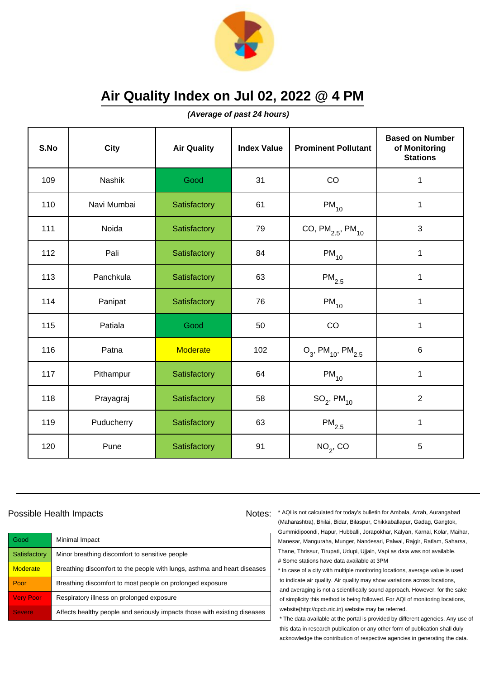

**(Average of past 24 hours)**

| S.No | City        | <b>Air Quality</b> | <b>Index Value</b> | <b>Prominent Pollutant</b>                   | <b>Based on Number</b><br>of Monitoring<br><b>Stations</b> |
|------|-------------|--------------------|--------------------|----------------------------------------------|------------------------------------------------------------|
| 109  | Nashik      | Good               | 31                 | CO                                           | 1                                                          |
| 110  | Navi Mumbai | Satisfactory       | 61                 | $PM_{10}$                                    | 1                                                          |
| 111  | Noida       | Satisfactory       | 79                 | CO, $PM_{2.5}$ , $PM_{10}$                   | 3                                                          |
| 112  | Pali        | Satisfactory       | 84                 | $PM_{10}$                                    | $\mathbf 1$                                                |
| 113  | Panchkula   | Satisfactory       | 63                 | $\mathsf{PM}_{2.5}$                          | $\mathbf 1$                                                |
| 114  | Panipat     | Satisfactory       | 76                 | $\mathsf{PM}_{10}$                           | 1                                                          |
| 115  | Patiala     | Good               | 50                 | CO                                           | $\mathbf{1}$                                               |
| 116  | Patna       | <b>Moderate</b>    | 102                | $O_3$ , PM <sub>10</sub> , PM <sub>2.5</sub> | $6\phantom{1}$                                             |
| 117  | Pithampur   | Satisfactory       | 64                 | $PM_{10}$                                    | $\mathbf 1$                                                |
| 118  | Prayagraj   | Satisfactory       | 58                 | $SO_2$ , PM <sub>10</sub>                    | $\overline{2}$                                             |
| 119  | Puducherry  | Satisfactory       | 63                 | $\mathsf{PM}_{2.5}$                          | 1                                                          |
| 120  | Pune        | Satisfactory       | 91                 | $NO2$ , CO                                   | 5                                                          |

#### Possible Health Impacts

| Good             | Minimal Impact                                                            |
|------------------|---------------------------------------------------------------------------|
| Satisfactory     | Minor breathing discomfort to sensitive people                            |
| <b>Moderate</b>  | Breathing discomfort to the people with lungs, asthma and heart diseases  |
| Poor             | Breathing discomfort to most people on prolonged exposure                 |
| <b>Very Poor</b> | Respiratory illness on prolonged exposure                                 |
| <b>Severe</b>    | Affects healthy people and seriously impacts those with existing diseases |

Notes: \* AQI is not calculated for today's bulletin for Ambala, Arrah, Aurangabad (Maharashtra), Bhilai, Bidar, Bilaspur, Chikkaballapur, Gadag, Gangtok, Gummidipoondi, Hapur, Hubballi, Jorapokhar, Kalyan, Karnal, Kolar, Maihar, Manesar, Manguraha, Munger, Nandesari, Palwal, Rajgir, Ratlam, Saharsa, Thane, Thrissur, Tirupati, Udupi, Ujjain, Vapi as data was not available. # Some stations have data available at 3PM

> \* In case of a city with multiple monitoring locations, average value is used to indicate air quality. Air quality may show variations across locations, and averaging is not a scientifically sound approach. However, for the sake of simplicity this method is being followed. For AQI of monitoring locations, website(http://cpcb.nic.in) website may be referred.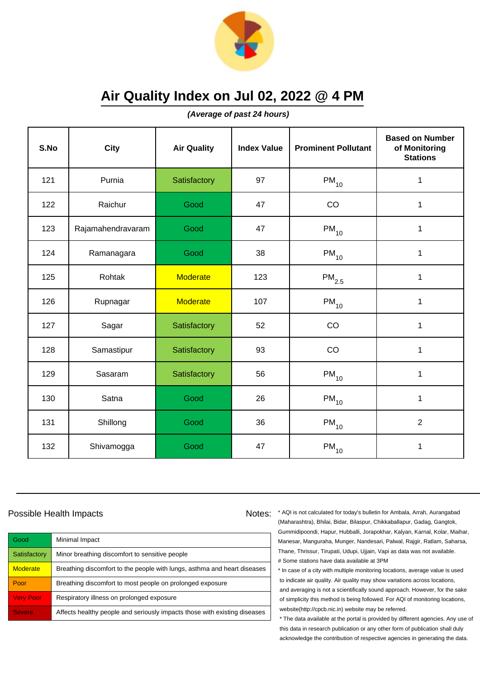

**(Average of past 24 hours)**

| S.No | <b>City</b>       | <b>Air Quality</b> | <b>Index Value</b> | <b>Prominent Pollutant</b> | <b>Based on Number</b><br>of Monitoring<br><b>Stations</b> |
|------|-------------------|--------------------|--------------------|----------------------------|------------------------------------------------------------|
| 121  | Purnia            | Satisfactory       | 97                 | $PM_{10}$                  | $\mathbf 1$                                                |
| 122  | Raichur           | Good               | 47                 | CO                         | $\mathbf 1$                                                |
| 123  | Rajamahendravaram | Good               | 47                 | $\mathsf{PM}_{10}$         | 1                                                          |
| 124  | Ramanagara        | Good               | 38                 | $PM_{10}$                  | 1                                                          |
| 125  | Rohtak            | <b>Moderate</b>    | 123                | $PM_{2.5}$                 | $\mathbf 1$                                                |
| 126  | Rupnagar          | <b>Moderate</b>    | 107                | $PM_{10}$                  | 1                                                          |
| 127  | Sagar             | Satisfactory       | 52                 | CO                         | 1                                                          |
| 128  | Samastipur        | Satisfactory       | 93                 | CO                         | $\mathbf{1}$                                               |
| 129  | Sasaram           | Satisfactory       | 56                 | $PM_{10}$                  | $\mathbf 1$                                                |
| 130  | Satna             | Good               | 26                 | $PM_{10}$                  | $\mathbf{1}$                                               |
| 131  | Shillong          | Good               | 36                 | $PM_{10}$                  | $\overline{2}$                                             |
| 132  | Shivamogga        | Good               | 47                 | $PM_{10}$                  | 1                                                          |

#### Possible Health Impacts

Good Minimal Impact Satisfactory | Minor breathing discomfort to sensitive people  $M$ oderate  $\blacksquare$  Breathing discomfort to the people with lungs, asthma and heart diseases **Poor** Breathing discomfort to most people on prolonged exposure Very Poor Respiratory illness on prolonged exposure Severe **Affects healthy people and seriously impacts those with existing diseases** 

Notes: \* AQI is not calculated for today's bulletin for Ambala, Arrah, Aurangabad (Maharashtra), Bhilai, Bidar, Bilaspur, Chikkaballapur, Gadag, Gangtok, Gummidipoondi, Hapur, Hubballi, Jorapokhar, Kalyan, Karnal, Kolar, Maihar, Manesar, Manguraha, Munger, Nandesari, Palwal, Rajgir, Ratlam, Saharsa, Thane, Thrissur, Tirupati, Udupi, Ujjain, Vapi as data was not available. # Some stations have data available at 3PM

> \* In case of a city with multiple monitoring locations, average value is used to indicate air quality. Air quality may show variations across locations, and averaging is not a scientifically sound approach. However, for the sake of simplicity this method is being followed. For AQI of monitoring locations, website(http://cpcb.nic.in) website may be referred.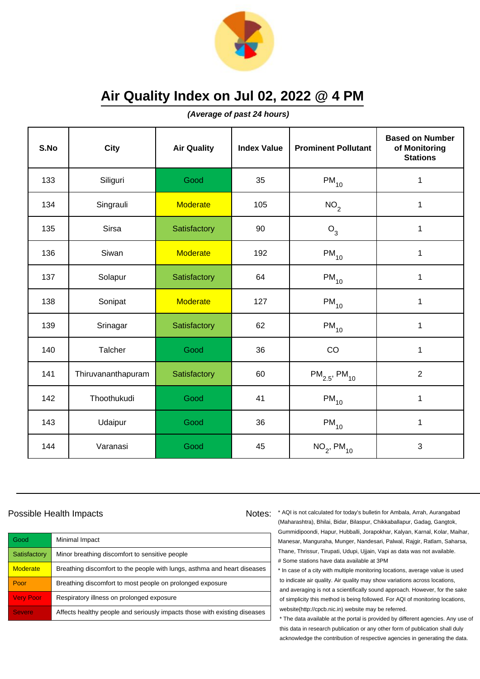

**(Average of past 24 hours)**

| S.No | City               | <b>Air Quality</b> | <b>Index Value</b> | <b>Prominent Pollutant</b>    | <b>Based on Number</b><br>of Monitoring<br><b>Stations</b> |
|------|--------------------|--------------------|--------------------|-------------------------------|------------------------------------------------------------|
| 133  | Siliguri           | Good               | 35                 | $\mathsf{PM}_{10}$            | 1                                                          |
| 134  | Singrauli          | <b>Moderate</b>    | 105                | NO <sub>2</sub>               | 1                                                          |
| 135  | Sirsa              | Satisfactory       | 90                 | $O_3$                         | 1                                                          |
| 136  | Siwan              | <b>Moderate</b>    | 192                | $PM_{10}$                     | $\mathbf 1$                                                |
| 137  | Solapur            | Satisfactory       | 64                 | $PM_{10}$                     | $\mathbf{1}$                                               |
| 138  | Sonipat            | <b>Moderate</b>    | 127                | $\mathsf{PM}_{10}$            | $\mathbf 1$                                                |
| 139  | Srinagar           | Satisfactory       | 62                 | $PM_{10}$                     | $\mathbf{1}$                                               |
| 140  | Talcher            | Good               | 36                 | CO                            | 1                                                          |
| 141  | Thiruvananthapuram | Satisfactory       | 60                 | $PM_{2.5}$ , PM <sub>10</sub> | $\overline{2}$                                             |
| 142  | Thoothukudi        | Good               | 41                 | $PM_{10}$                     | 1                                                          |
| 143  | Udaipur            | Good               | 36                 | $PM_{10}$                     | $\mathbf{1}$                                               |
| 144  | Varanasi           | Good               | 45                 | $NO_{2}$ , PM <sub>10</sub>   | 3                                                          |

#### Possible Health Impacts

| Good             | Minimal Impact                                                            |
|------------------|---------------------------------------------------------------------------|
| Satisfactory     | Minor breathing discomfort to sensitive people                            |
| <b>Moderate</b>  | Breathing discomfort to the people with lungs, asthma and heart diseases  |
| Poor             | Breathing discomfort to most people on prolonged exposure                 |
| <b>Very Poor</b> | Respiratory illness on prolonged exposure                                 |
| <b>Severe</b>    | Affects healthy people and seriously impacts those with existing diseases |

Notes: \* AQI is not calculated for today's bulletin for Ambala, Arrah, Aurangabad (Maharashtra), Bhilai, Bidar, Bilaspur, Chikkaballapur, Gadag, Gangtok, Gummidipoondi, Hapur, Hubballi, Jorapokhar, Kalyan, Karnal, Kolar, Maihar, Manesar, Manguraha, Munger, Nandesari, Palwal, Rajgir, Ratlam, Saharsa, Thane, Thrissur, Tirupati, Udupi, Ujjain, Vapi as data was not available. # Some stations have data available at 3PM

> \* In case of a city with multiple monitoring locations, average value is used to indicate air quality. Air quality may show variations across locations, and averaging is not a scientifically sound approach. However, for the sake of simplicity this method is being followed. For AQI of monitoring locations, website(http://cpcb.nic.in) website may be referred.